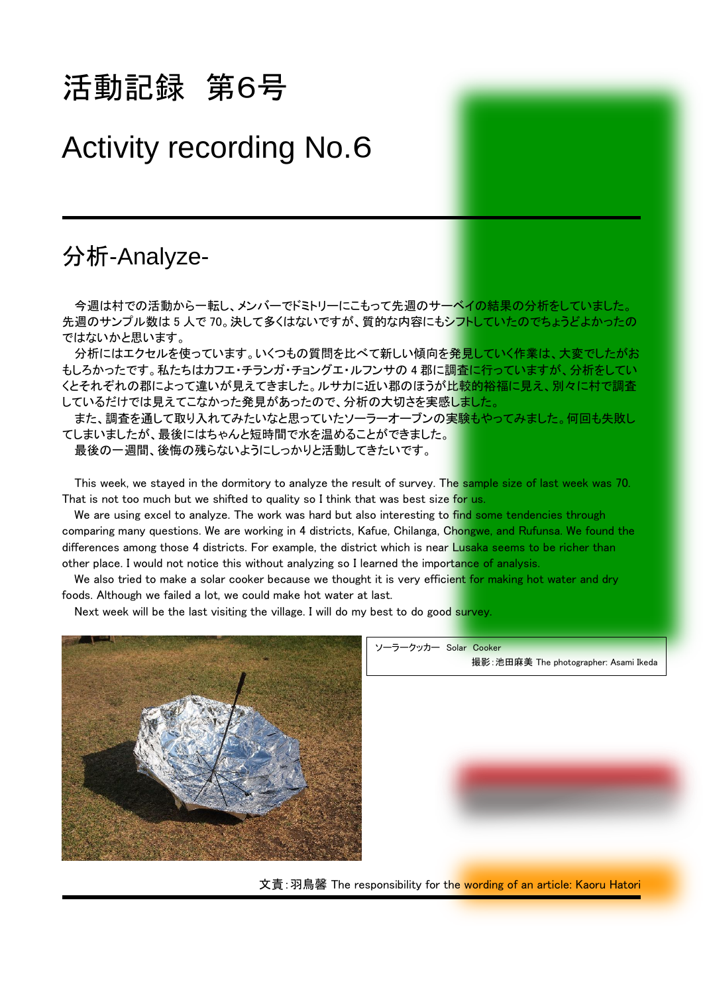# 活動記録 第6号

# Activity recording No.6

#### 分析-Analyze-

今週は村での活動から一転し、メンバーでドミトリーにこもって先週のサーベイの結果の分析をしていました。 先週のサンプル数は5人で70。決して多くはないですが、質的な内容にもシフトしていたのでちょうどよかったの ではないかと思います。

分析にはエクセルを使っています。いくつもの質問を比べて新しい傾向を発見していく作業は、大変でしたがお もしろかったです。私たちはカフエ・チランガ・チョングエ・ルフンサの4郡に調査に行っていますが、分析をしてい くとそれぞれの郡によって違いが見えてきました。ルサカに近い郡のほうが比較的裕福に見え、別々に村で調査 しているだけでは見えてこなかった発見があったので、分析の大切さを実感しました。

また、調査を通して取り入れてみたいなと思っていたソーラーオーブンの実験もやってみました。何回も失敗し てしまいましたが、最後にはちゃんと短時間で水を温めることができました。

最後の一週間、後悔の残らないようにしっかりと活動してきたいです。

This week, we stayed in the dormitory to analyze the result of survey. The sample size of last week was 70. That is not too much but we shifted to quality so I think that was best size for us.

We are using excel to analyze. The work was hard but also interesting to find some tendencies through comparing many questions. We are working in 4 districts, Kafue, Chilanga, Chongwe, and Rufunsa. We found the differences among those 4 districts. For example, the district which is near Lusaka seems to be richer than other place. I would not notice this without analyzing so I learned the importance of analysis.

We also tried to make a solar cooker because we thought it is very efficient for making hot water and dry foods. Although we failed a lot, we could make hot water at last.

Next week will be the last visiting the village. I will do my best to do good survey.



文責: 羽鳥馨 The responsibility for the wording of an article: Kaoru Hatori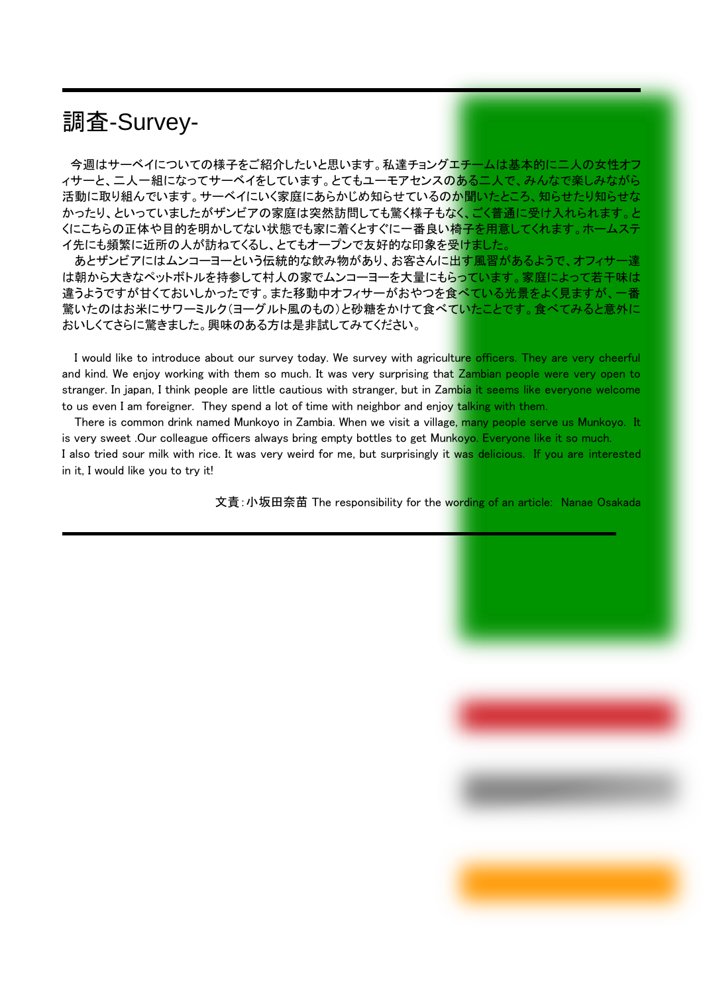## 調査-Survey-

今週はサーベイについての様子をご紹介したいと思います。私達チョングエチームは基本的に二人の女性オフ ィサーと、二人一組になってサーベイをしています。とてもユーモアセンスのある二人で、みんなで楽しみながら 活動に取り組んでいます。サーベイにいく家庭にあらかじめ知らせているのか聞いたところ、知らせたり知らせな かったり、といっていましたがザンビアの家庭は突然訪問しても驚く様子もなく、ごく普通に受け入れられます。と くにこちらの正体や目的を明かしてない状態でも家に着くとすぐに一番良い椅子を用意してくれます。ホームステ イ先にも頻繁に近所の人が訪ねてくるし、とてもオープンで友好的な印象を受けました。

あとザンビアにはムンコーヨーという伝統的な飲み物があり、お客さんに出す風習があるようで、オフィサー達 は朝から大きなペットボトルを持参して村人の家でムンコーヨーを大量にもらっています。家庭によって若干味は 違うようですが甘くておいしかったです。また移動中オフィサーがおやつを食べている光景をよく見ますが、一番 驚いたのはお米にサワーミルク(ヨーグルト風のもの)と砂糖をかけて食べていたことです。食べてみると意外に おいしくてさらに驚きました。興味のある方は是非試してみてください。

I would like to introduce about our survey today. We survey with agriculture officers. They are very cheerful and kind. We enjoy working with them so much. It was very surprising that Zambian people were very open to stranger. In japan, I think people are little cautious with stranger, but in Zambia it seems like everyone welcome to us even I am foreigner. They spend a lot of time with neighbor and enjoy talking with them.

There is common drink named Munkoyo in Zambia. When we visit a village, many people serve us Munkoyo. It is very sweet .Our colleague officers always bring empty bottles to get Munkoyo. Everyone like it so much. I also tried sour milk with rice. It was very weird for me, but surprisingly it was delicious. If you are interested in it, I would like you to try it!

文責: 小坂田奈苗 The responsibility for the wording of an article: Nanae Osakada

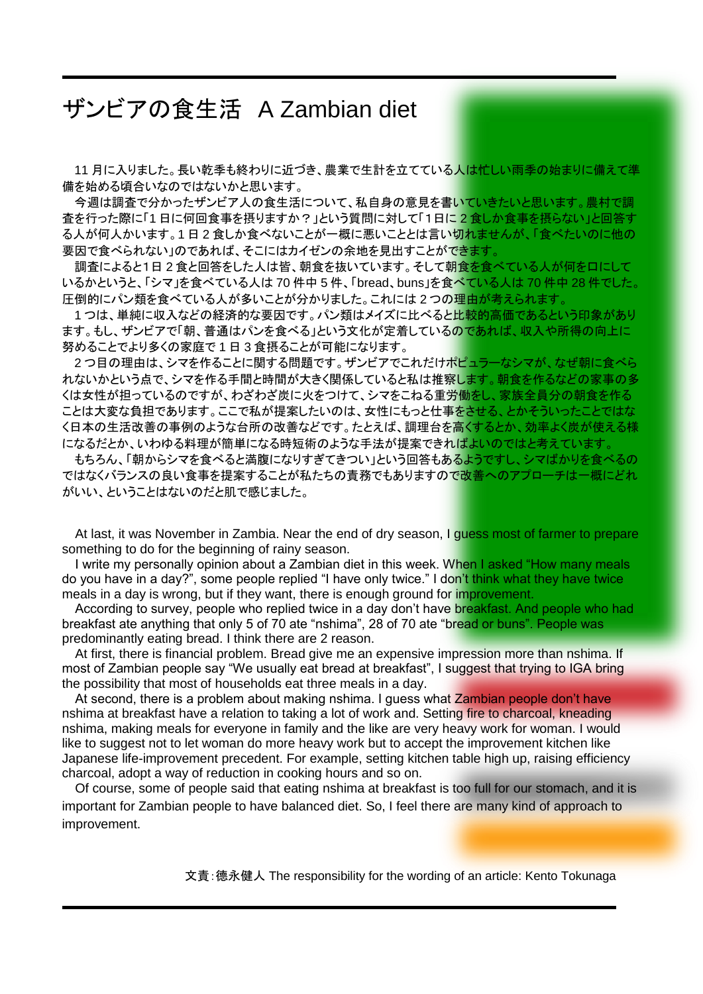#### ザンビアの食生活 A Zambian diet

11 月に入りました。長い乾季も終わりに近づき、農業で生計を立てている人は忙しい雨季の始まりに備えて準 備を始める頃合いなのではないかと思います。

今週は調査で分かったザンビア人の食生活について、私自身の意見を書いていきたいと思います。農村で調 査を行った際に「1 日に何回食事を摂りますか?」という質問に対して「1日に 2 食しか食事を摂らない」と回答す る人が何人かいます。1 日 2 食しか食べないことが一概に悪いこととは言い切れませんが、「食べたいのに他の 要因で食べられない」のであれば、そこにはカイゼンの余地を見出すことができます。

調査によると1日 2 食と回答をした人は皆、朝食を抜いています。そして朝食を食べている人が何を口にして いるかというと、「シマ」を食べている人は 70 件中 5 件、「bread、buns」を食べている人は 70 件中 28 件でした。 圧倒的にパン類を食べている人が多いことが分かりました。これには2つの理由が考えられます。

1つは、単純に収入などの経済的な要因です。パン類はメイズに比べると<mark>比</mark>較的高価であるという印象があり ます。もし、ザンビアで「朝、普通はパンを食べる」という文化が定着しているのであれば、収入や所得の向上に 努めることでより多くの家庭で 1 日 3 食摂ることが可能になります。

2つ目の理由は、シマを作ることに関する問題です。ザンビアでこれだけポピュラーなシマが、なぜ朝に食べら れないかという点で、シマを作る手間と時間が大きく関係していると私は推察します。朝食を作るなどの家事の多 くは女性が担っているのですが、わざわざ炭に火をつけて、シマをこねる重労働をし、家族全員分の朝食を作る ことは大変な負担であります。ここで私が提案したいのは、女性にもっと仕事をさせる、とかそういったことではな く日本の生活改善の事例のような台所の改善などです。たとえば、調理台を高くするとか、効率よく炭が使える様 になるだとか、いわゆる料理が簡単になる時短術のような手法が提案できればよいのではと考えています。

もちろん、「朝からシマを食べると満腹になりすぎてきつい」という回答もあるようですし、シマばかりを食べるの ではなくバランスの良い食事を提案することが私たちの責務でもありますので改善へのアプローチは一概にどれ がいい、ということはないのだと肌で感じました。

At last, it was November in Zambia. Near the end of dry season, I guess most of farmer to prepare something to do for the beginning of rainy season.

I write my personally opinion about a Zambian diet in this week. When I asked "How many meals do you have in a day?", some people replied "I have only twice." I don't think what they have twice meals in a day is wrong, but if they want, there is enough ground for improvement.

According to survey, people who replied twice in a day don't have breakfast. And people who had breakfast ate anything that only 5 of 70 ate "nshima", 28 of 70 ate "bread or buns". People was predominantly eating bread. I think there are 2 reason.

At first, there is financial problem. Bread give me an expensive impression more than nshima. If most of Zambian people say "We usually eat bread at breakfast", I suggest that trying to IGA bring the possibility that most of households eat three meals in a day.

At second, there is a problem about making nshima. I guess what Zambian people don't have nshima at breakfast have a relation to taking a lot of work and. Setting fire to charcoal, kneading nshima, making meals for everyone in family and the like are very heavy work for woman. I would like to suggest not to let woman do more heavy work but to accept the improvement kitchen like Japanese life-improvement precedent. For example, setting kitchen table high up, raising efficiency charcoal, adopt a way of reduction in cooking hours and so on.

Of course, some of people said that eating nshima at breakfast is too full for our stomach, and it is important for Zambian people to have balanced diet. So, I feel there are many kind of approach to improvement.

文責:德永健人 The responsibility for the wording of an article: Kento Tokunaga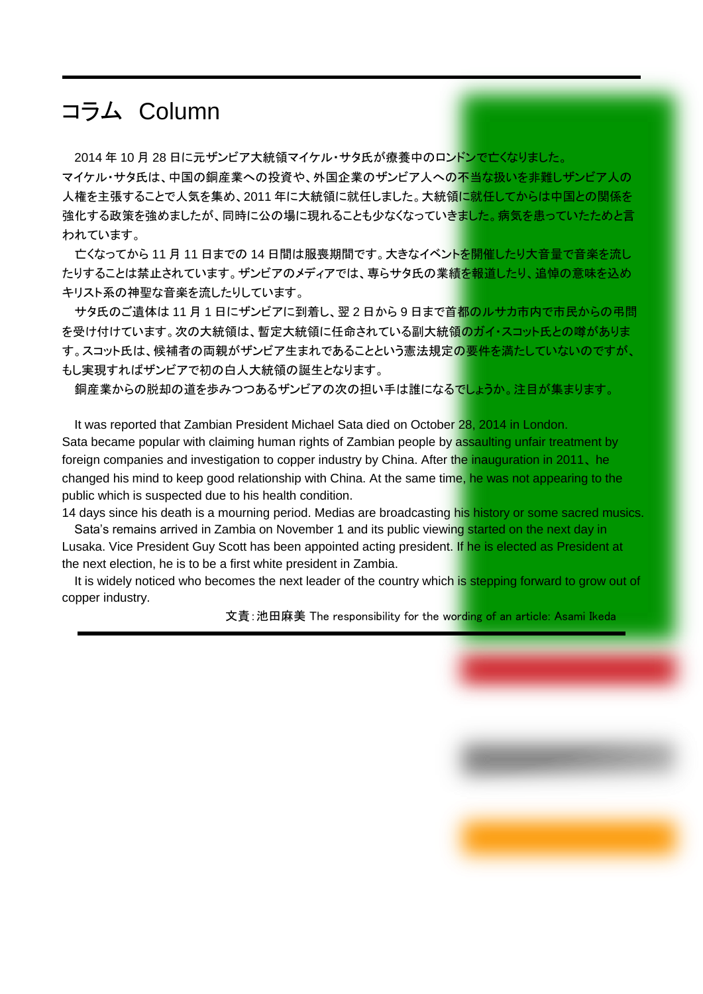## コラム Column

2014 年 10 月 28 日に元ザンビア大統領マイケル・サタ氏が療養中のロンドンで亡くなりました。 マイケル・サタ氏は、中国の銅産業への投資や、外国企業のザンビア人への不当な扱いを非難しザンビア人の 人権を主張することで人気を集め、2011 年に大統領に就任しました。大統領に<mark>就任し</mark>てからは中国との関係を 強化する政策を強めましたが、同時に公の場に現れることも少なくなっていきました。病気を患っていたためと言 われています。

亡くなってから 11 月 11 日までの 14 日間は服喪期間です。大きなイベントを開催したり大音量で音楽を流し たりすることは禁止されています。ザンビアのメディアでは、専らサタ氏の業績を報道したり、追悼の意味を込め キリスト系の神聖な音楽を流したりしています。

サタ氏のご遺体は 11 月 1 日にザンビアに到着し、翌 2 日から 9 日まで首都のルサカ市内で市民からの弔問 を受け付けています。次の大統領は、暫定大統領に任命されている副大統領のガイ・スコット氏との噂がありま す。スコット氏は、候補者の両親がザンビア生まれであることという憲法規定の要件を満たしていないのですが、 もし実現すればザンビアで初の白人大統領の誕生となります。

銅産業からの脱却の道を歩みつつあるザンビアの次の担い手は誰になるでしょうか。注目が集まります。

It was reported that Zambian President Michael Sata died on October 28, 2014 in London. Sata became popular with claiming human rights of Zambian people by assaulting unfair treatment by foreign companies and investigation to copper industry by China. After the inauguration in 2011、 he changed his mind to keep good relationship with China. At the same time, he was not appearing to the public which is suspected due to his health condition.

14 days since his death is a mourning period. Medias are broadcasting his history or some sacred musics. Sata's remains arrived in Zambia on November 1 and its public viewing started on the next day in Lusaka. Vice President Guy Scott has been appointed acting president. If he is elected as President at

the next election, he is to be a first white president in Zambia.

It is widely noticed who becomes the next leader of the country which is stepping forward to grow out of copper industry.

文責:池田麻美 The responsibility for the wording of an article: Asami Ikeda